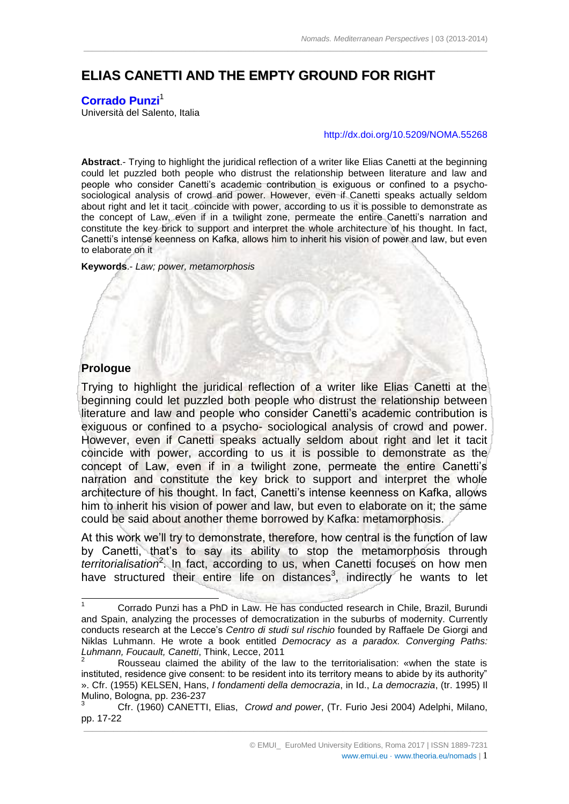# **ELIAS CANETTI AND THE EMPTY GROUND FOR RIGHT**

 $\_$  ,  $\_$  ,  $\_$  ,  $\_$  ,  $\_$  ,  $\_$  ,  $\_$  ,  $\_$  ,  $\_$  ,  $\_$  ,  $\_$  ,  $\_$  ,  $\_$  ,  $\_$  ,  $\_$  ,  $\_$  ,  $\_$  ,  $\_$  ,  $\_$  ,  $\_$  ,  $\_$  ,  $\_$  ,  $\_$  ,  $\_$  ,  $\_$  ,  $\_$  ,  $\_$  ,  $\_$  ,  $\_$  ,  $\_$  ,  $\_$  ,  $\_$  ,  $\_$  ,  $\_$  ,  $\_$  ,  $\_$  ,  $\_$  ,

# **[Corrado](mailto:corrado.punzi@gmail.com) Punzi** 1

Università del Salento, Italia

#### <http://dx.doi.org/10.5209/NOMA.55268>

**Abstract**.- Trying to highlight the juridical reflection of a writer like Elias Canetti at the beginning could let puzzled both people who distrust the relationship between literature and law and people who consider Canetti's academic contribution is exiguous or confined to a psychosociological analysis of crowd and power. However, even if Canetti speaks actually seldom about right and let it tacit coincide with power, according to us it is possible to demonstrate as the concept of Law, even if in a twilight zone, permeate the entire Canetti's narration and constitute the key brick to support and interpret the whole architecture of his thought. In fact, Canetti's intense keenness on Kafka, allows him to inherit his vision of power and law, but even to elaborate on it

**Keywords**.- *Law; power, metamorphosis*

#### **Prologue**

-

Trying to highlight the juridical reflection of a writer like Elias Canetti at the beginning could let puzzled both people who distrust the relationship between literature and law and people who consider Canetti's academic contribution is exiguous or confined to a psycho- sociological analysis of crowd and power. However, even if Canetti speaks actually seldom about right and let it tacit coincide with power, according to us it is possible to demonstrate as the concept of Law, even if in a twilight zone, permeate the entire Canetti's narration and constitute the key brick to support and interpret the whole architecture of his thought. In fact, Canetti's intense keenness on Kafka, allows him to inherit his vision of power and law, but even to elaborate on it; the same could be said about another theme borrowed by Kafka: metamorphosis.

At this work we'll try to demonstrate, therefore, how central is the function of law by Canetti, that's to say its ability to stop the metamorphosis through territorialisation<sup>2</sup>. In fact, according to us, when Canetti focuses on how men have structured their entire life on distances<sup>3</sup>, indirectly he wants to let

<sup>1</sup> Corrado Punzi has a PhD in Law. He has conducted research in Chile, Brazil, Burundi and Spain, analyzing the processes of democratization in the suburbs of modernity. Currently conducts research at the Lecce's *Centro di studi sul rischio* founded by Raffaele De Giorgi and Niklas Luhmann. He wrote a book entitled *Democracy as a paradox. Converging Paths: Luhmann, Foucault, Canetti*, Think, Lecce, 2011

Rousseau claimed the ability of the law to the territorialisation: «when the state is instituted, residence give consent: to be resident into its territory means to abide by its authority" ». Cfr. (1955) KELSEN, Hans, *I fondamenti della democrazia*, in Id., *La democrazia*, (tr. 1995) Il Mulino, Bologna, pp. 236-237

 $\_$  , and the set of the set of the set of the set of the set of the set of the set of the set of the set of the set of the set of the set of the set of the set of the set of the set of the set of the set of the set of th <sup>3</sup> Cfr. (1960) CANETTI, Elias, *Crowd and power*, (Tr. Furio Jesi 2004) Adelphi, Milano, pp. 17-22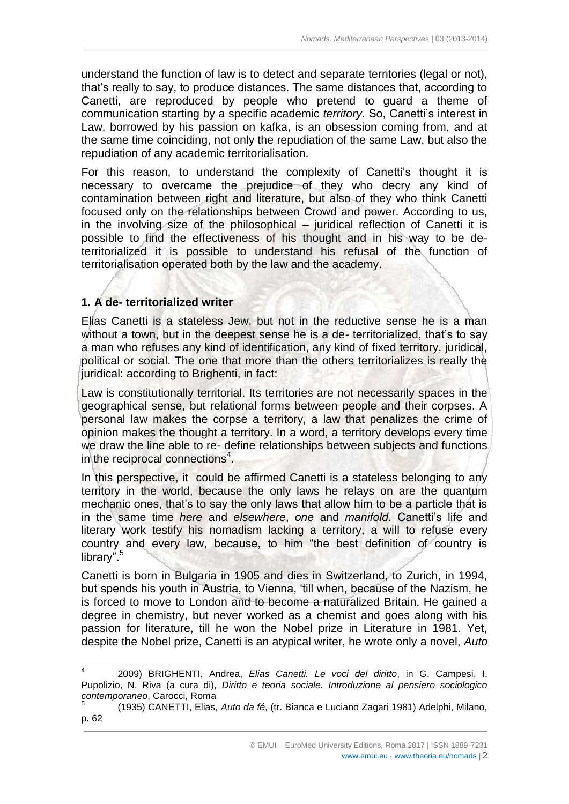understand the function of law is to detect and separate territories (legal or not), that's really to say, to produce distances. The same distances that, according to Canetti, are reproduced by people who pretend to guard a theme of communication starting by a specific academic *territory*. So, Canetti's interest in Law, borrowed by his passion on kafka, is an obsession coming from, and at the same time coinciding, not only the repudiation of the same Law, but also the repudiation of any academic territorialisation.

 $\_$  ,  $\_$  ,  $\_$  ,  $\_$  ,  $\_$  ,  $\_$  ,  $\_$  ,  $\_$  ,  $\_$  ,  $\_$  ,  $\_$  ,  $\_$  ,  $\_$  ,  $\_$  ,  $\_$  ,  $\_$  ,  $\_$  ,  $\_$  ,  $\_$  ,  $\_$  ,  $\_$  ,  $\_$  ,  $\_$  ,  $\_$  ,  $\_$  ,  $\_$  ,  $\_$  ,  $\_$  ,  $\_$  ,  $\_$  ,  $\_$  ,  $\_$  ,  $\_$  ,  $\_$  ,  $\_$  ,  $\_$  ,  $\_$  ,

For this reason, to understand the complexity of Canetti's thought it is necessary to overcame the prejudice of they who decry any kind of contamination between right and literature, but also of they who think Canetti focused only on the relationships between Crowd and power. According to us, in the involving size of the philosophical – juridical reflection of Canetti it is possible to find the effectiveness of his thought and in his way to be deterritorialized it is possible to understand his refusal of the function of territorialisation operated both by the law and the academy.

#### **1. A de- territorialized writer**

-

Elias Canetti is a stateless Jew, but not in the reductive sense he is a man without a town, but in the deepest sense he is a de- territorialized, that's to say a man who refuses any kind of identification, any kind of fixed territory, juridical, political or social. The one that more than the others territorializes is really the juridical: according to Brighenti, in fact:

Law is constitutionally territorial. Its territories are not necessarily spaces in the geographical sense, but relational forms between people and their corpses. A personal law makes the corpse a territory, a law that penalizes the crime of opinion makes the thought a territory. In a word, a territory develops every time we draw the line able to re- define relationships between subjects and functions in the reciprocal connections<sup>4</sup>.

In this perspective, it could be affirmed Canetti is a stateless belonging to any territory in the world, because the only laws he relays on are the quantum mechanic ones, that's to say the only laws that allow him to be a particle that is in the same time *here* and *elsewhere*, *one* and *manifold*. Canetti's life and literary work testify his nomadism lacking a territory, a will to refuse every country and every law, because, to him "the best definition of country is library".<sup>5</sup>

Canetti is born in Bulgaria in 1905 and dies in Switzerland, to Zurich, in 1994, but spends his youth in Austria, to Vienna, 'till when, because of the Nazism, he is forced to move to London and to become a naturalized Britain. He gained a degree in chemistry, but never worked as a chemist and goes along with his passion for literature, till he won the Nobel prize in Literature in 1981. Yet, despite the Nobel prize, Canetti is an atypical writer, he wrote only a novel, *Auto* 

<sup>4</sup> 2009) BRIGHENTI, Andrea, *Elias Canetti. Le voci del diritto*, in G. Campesi, I. Pupolizio, N. Riva (a cura di), *Diritto e teoria sociale. Introduzione al pensiero sociologico contemporaneo*, Carocci, Roma 5

 $\_$  , and the set of the set of the set of the set of the set of the set of the set of the set of the set of the set of the set of the set of the set of the set of the set of the set of the set of the set of the set of th (1935) CANETTI, Elias, *Auto da fé*, (tr. Bianca e Luciano Zagari 1981) Adelphi, Milano, p. 62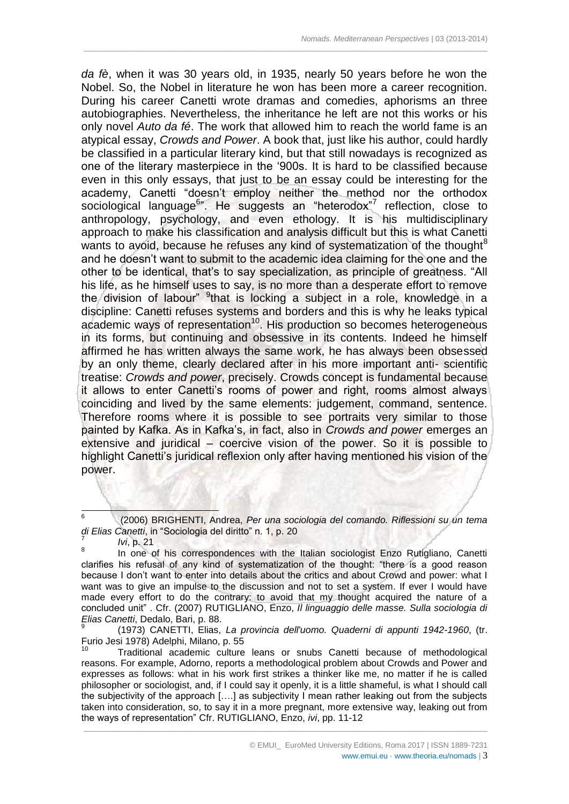*da fè*, when it was 30 years old, in 1935, nearly 50 years before he won the Nobel. So, the Nobel in literature he won has been more a career recognition. During his career Canetti wrote dramas and comedies, aphorisms an three autobiographies. Nevertheless, the inheritance he left are not this works or his only novel *Auto da fé*. The work that allowed him to reach the world fame is an atypical essay, *Crowds and Power*. A book that, just like his author, could hardly be classified in a particular literary kind, but that still nowadays is recognized as one of the literary masterpiece in the '900s. It is hard to be classified because even in this only essays, that just to be an essay could be interesting for the academy, Canetti "doesn't employ neither the method nor the orthodox sociological language<sup>6</sup>". He suggests an "heterodox"<sup>7</sup> reflection, close to anthropology, psychology, and even ethology. It is his multidisciplinary approach to make his classification and analysis difficult but this is what Canetti wants to avoid, because he refuses any kind of systematization of the thought<sup>8</sup> and he doesn't want to submit to the academic idea claiming for the one and the other to be identical, that's to say specialization, as principle of greatness. "All his life, as he himself uses to say, is no more than a desperate effort to remove the division of labour" <sup>9</sup>that is locking a subject in a role, knowledge in a discipline: Canetti refuses systems and borders and this is why he leaks typical academic ways of representation<sup>10</sup>. His production so becomes heterogeneous in its forms, but continuing and obsessive in its contents. Indeed he himself affirmed he has written always the same work, he has always been obsessed by an only theme, clearly declared after in his more important anti- scientific treatise: *Crowds and power*, precisely. Crowds concept is fundamental because it allows to enter Canetti's rooms of power and right, rooms almost always coinciding and lived by the same elements: judgement, command, sentence. Therefore rooms where it is possible to see portraits very similar to those painted by Kafka. As in Kafka's, in fact, also in *Crowds and power* emerges an extensive and juridical – coercive vision of the power. So it is possible to highlight Canetti's juridical reflexion only after having mentioned his vision of the power.

 $\_$  ,  $\_$  ,  $\_$  ,  $\_$  ,  $\_$  ,  $\_$  ,  $\_$  ,  $\_$  ,  $\_$  ,  $\_$  ,  $\_$  ,  $\_$  ,  $\_$  ,  $\_$  ,  $\_$  ,  $\_$  ,  $\_$  ,  $\_$  ,  $\_$  ,  $\_$  ,  $\_$  ,  $\_$  ,  $\_$  ,  $\_$  ,  $\_$  ,  $\_$  ,  $\_$  ,  $\_$  ,  $\_$  ,  $\_$  ,  $\_$  ,  $\_$  ,  $\_$  ,  $\_$  ,  $\_$  ,  $\_$  ,  $\_$  ,

 $\overline{\phantom{a}}$ 

<sup>6</sup> (2006) BRIGHENTI, Andrea, *Per una sociologia del comando. Riflessioni su un tema di Elias Canetti*, in "Sociologia del diritto" n. 1, p. 20

<sup>7</sup> *Ivi*, p. 21

<sup>8</sup> In one of his correspondences with the Italian sociologist Enzo Rutigliano, Canetti clarifies his refusal of any kind of systematization of the thought: "there is a good reason because I don't want to enter into details about the critics and about Crowd and power: what I want was to give an impulse to the discussion and not to set a system. If ever I would have made every effort to do the contrary: to avoid that my thought acquired the nature of a concluded unit" . Cfr. (2007) RUTIGLIANO, Enzo, *Il linguaggio delle masse. Sulla sociologia di Elias Canetti*, Dedalo, Bari, p. 88.

<sup>9</sup> (1973) CANETTI, Elias, *La provincia dell'uomo. Quaderni di appunti 1942-1960*, (tr. Furio Jesi 1978) Adelphi, Milano, p. 55

 $\_$  , and the set of the set of the set of the set of the set of the set of the set of the set of the set of the set of the set of the set of the set of the set of the set of the set of the set of the set of the set of th Traditional academic culture leans or snubs Canetti because of methodological reasons. For example, Adorno, reports a methodological problem about Crowds and Power and expresses as follows: what in his work first strikes a thinker like me, no matter if he is called philosopher or sociologist, and, if I could say it openly, it is a little shameful, is what I should call the subjectivity of the approach [….] as subjectivity I mean rather leaking out from the subjects taken into consideration, so, to say it in a more pregnant, more extensive way, leaking out from the ways of representation" Cfr. RUTIGLIANO, Enzo, *ivi*, pp. 11-12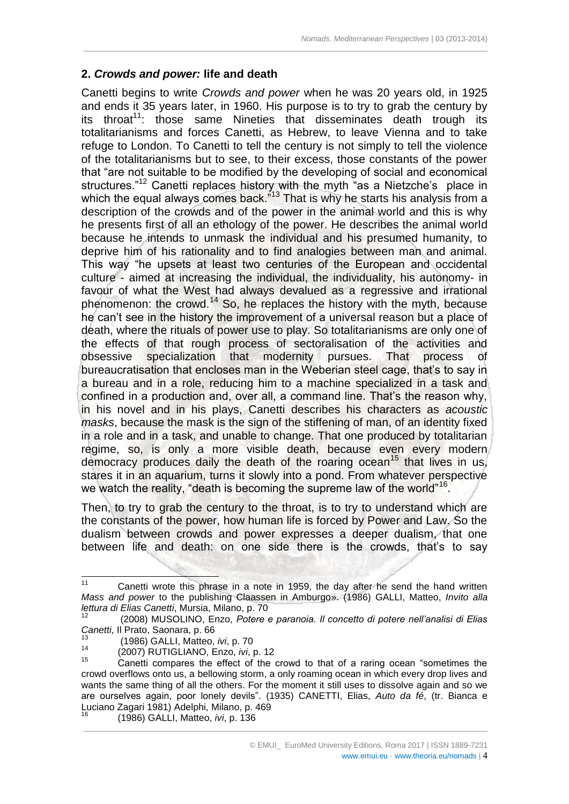# **2.** *Crowds and power:* **life and death**

Canetti begins to write *Crowds and power* when he was 20 years old, in 1925 and ends it 35 years later, in 1960. His purpose is to try to grab the century by its throat<sup>11</sup>: those same Nineties that disseminates death trough its totalitarianisms and forces Canetti, as Hebrew, to leave Vienna and to take refuge to London. To Canetti to tell the century is not simply to tell the violence of the totalitarianisms but to see, to their excess, those constants of the power that "are not suitable to be modified by the developing of social and economical structures."<sup>12</sup> Canetti replaces history with the myth "as a Nietzche's place in which the equal always comes back."<sup>13</sup> That is why he starts his analysis from a description of the crowds and of the power in the animal world and this is why he presents first of all an ethology of the power. He describes the animal world because he intends to unmask the individual and his presumed humanity, to deprive him of his rationality and to find analogies between man and animal. This way "he upsets at least two centuries of the European and occidental culture - aimed at increasing the individual, the individuality, his autonomy- in favour of what the West had always devalued as a regressive and irrational phenomenon: the crowd.<sup>14</sup> So, he replaces the history with the myth, because he can't see in the history the improvement of a universal reason but a place of death, where the rituals of power use to play. So totalitarianisms are only one of the effects of that rough process of sectoralisation of the activities and obsessive specialization that modernity pursues. That process of bureaucratisation that encloses man in the Weberian steel cage, that's to say in a bureau and in a role, reducing him to a machine specialized in a task and confined in a production and, over all, a command line. That's the reason why, in his novel and in his plays, Canetti describes his characters as *acoustic masks*, because the mask is the sign of the stiffening of man, of an identity fixed in a role and in a task, and unable to change. That one produced by totalitarian regime, so, is only a more visible death, because even every modern democracy produces daily the death of the roaring ocean<sup>15</sup> that lives in us, stares it in an aquarium, turns it slowly into a pond. From whatever perspective we watch the reality, "death is becoming the supreme law of the world"<sup>16</sup>.

 $\_$  ,  $\_$  ,  $\_$  ,  $\_$  ,  $\_$  ,  $\_$  ,  $\_$  ,  $\_$  ,  $\_$  ,  $\_$  ,  $\_$  ,  $\_$  ,  $\_$  ,  $\_$  ,  $\_$  ,  $\_$  ,  $\_$  ,  $\_$  ,  $\_$  ,  $\_$  ,  $\_$  ,  $\_$  ,  $\_$  ,  $\_$  ,  $\_$  ,  $\_$  ,  $\_$  ,  $\_$  ,  $\_$  ,  $\_$  ,  $\_$  ,  $\_$  ,  $\_$  ,  $\_$  ,  $\_$  ,  $\_$  ,  $\_$  ,

Then, to try to grab the century to the throat, is to try to understand which are the constants of the power, how human life is forced by Power and Law. So the dualism between crowds and power expresses a deeper dualism, that one between life and death: on one side there is the crowds, that's to say

 $11$ Canetti wrote this phrase in a note in 1959, the day after he send the hand written *Mass and power* to the publishing Claassen in Amburgo». (1986) GALLI, Matteo, *Invito alla lettura di Elias Canetti*, Mursia, Milano, p. 70

<sup>12</sup> (2008) MUSOLINO, Enzo, *Potere e paranoia. Il concetto di potere nell'analisi di Elias Canetti*, Il Prato, Saonara, p. 66 13

 <sup>(1986)</sup> GALLI, Matteo, *ivi*, p. 70

<sup>14</sup> (2007) RUTIGLIANO, Enzo, *ivi*, p. 12

Canetti compares the effect of the crowd to that of a raring ocean "sometimes the crowd overflows onto us, a bellowing storm, a only roaming ocean in which every drop lives and wants the same thing of all the others. For the moment it still uses to dissolve again and so we are ourselves again, poor lonely devils". (1935) CANETTI, Elias, *Auto da fé*, (tr. Bianca e Luciano Zagari 1981) Adelphi, Milano, p. 469

 $\_$  , and the set of the set of the set of the set of the set of the set of the set of the set of the set of the set of the set of the set of the set of the set of the set of the set of the set of the set of the set of th <sup>16</sup> (1986) GALLI, Matteo, *ivi*, p. 136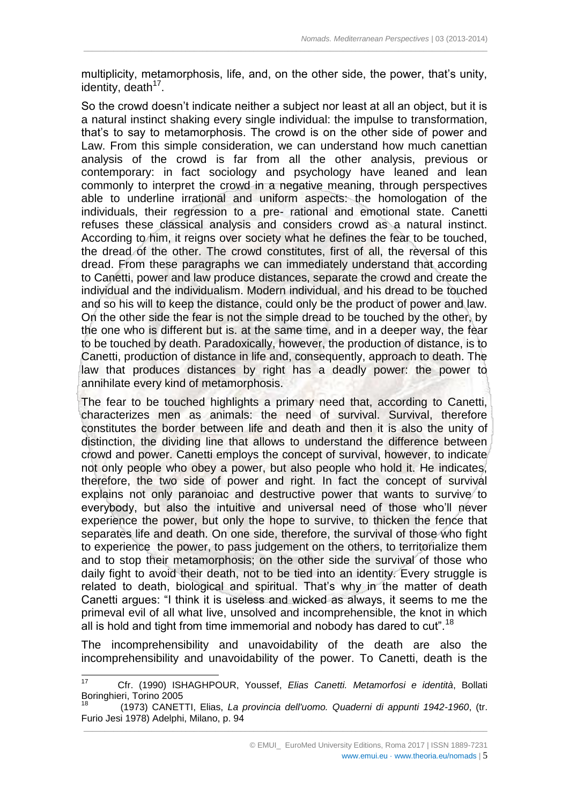multiplicity, metamorphosis, life, and, on the other side, the power, that's unity, identity, death<sup>17</sup>.

 $\_$  ,  $\_$  ,  $\_$  ,  $\_$  ,  $\_$  ,  $\_$  ,  $\_$  ,  $\_$  ,  $\_$  ,  $\_$  ,  $\_$  ,  $\_$  ,  $\_$  ,  $\_$  ,  $\_$  ,  $\_$  ,  $\_$  ,  $\_$  ,  $\_$  ,  $\_$  ,  $\_$  ,  $\_$  ,  $\_$  ,  $\_$  ,  $\_$  ,  $\_$  ,  $\_$  ,  $\_$  ,  $\_$  ,  $\_$  ,  $\_$  ,  $\_$  ,  $\_$  ,  $\_$  ,  $\_$  ,  $\_$  ,  $\_$  ,

So the crowd doesn't indicate neither a subject nor least at all an object, but it is a natural instinct shaking every single individual: the impulse to transformation, that's to say to metamorphosis. The crowd is on the other side of power and Law. From this simple consideration, we can understand how much canettian analysis of the crowd is far from all the other analysis, previous or contemporary: in fact sociology and psychology have leaned and lean commonly to interpret the crowd in a negative meaning, through perspectives able to underline irrational and uniform aspects: the homologation of the individuals, their regression to a pre- rational and emotional state. Canetti refuses these classical analysis and considers crowd as a natural instinct. According to him, it reigns over society what he defines the fear to be touched, the dread of the other. The crowd constitutes, first of all, the reversal of this dread. From these paragraphs we can immediately understand that according to Canetti, power and law produce distances, separate the crowd and create the individual and the individualism. Modern individual, and his dread to be touched and so his will to keep the distance, could only be the product of power and law. On the other side the fear is not the simple dread to be touched by the other, by the one who is different but is. at the same time, and in a deeper way, the fear to be touched by death. Paradoxically, however, the production of distance, is to Canetti, production of distance in life and, consequently, approach to death. The law that produces distances by right has a deadly power: the power to annihilate every kind of metamorphosis.

The fear to be touched highlights a primary need that, according to Canetti, characterizes men as animals: the need of survival. Survival, therefore constitutes the border between life and death and then it is also the unity of distinction, the dividing line that allows to understand the difference between crowd and power. Canetti employs the concept of survival, however, to indicate not only people who obey a power, but also people who hold it. He indicates, therefore, the two side of power and right. In fact the concept of survival explains not only paranoiac and destructive power that wants to survive to everybody, but also the intuitive and universal need of those who'll never experience the power, but only the hope to survive, to thicken the fence that separates life and death. On one side, therefore, the survival of those who fight to experience the power, to pass judgement on the others, to territorialize them and to stop their metamorphosis; on the other side the survival of those who daily fight to avoid their death, not to be tied into an identity. Every struggle is related to death, biological and spiritual. That's why in the matter of death Canetti argues: "I think it is useless and wicked as always, it seems to me the primeval evil of all what live, unsolved and incomprehensible, the knot in which all is hold and tight from time immemorial and nobody has dared to cut".<sup>18</sup>

The incomprehensibility and unavoidability of the death are also the incomprehensibility and unavoidability of the power. To Canetti, death is the

 $17$ <sup>17</sup> Cfr. (1990) ISHAGHPOUR, Youssef, *Elias Canetti. Metamorfosi e identità*, Bollati Boringhieri, Torino 2005

 $\_$  , and the set of the set of the set of the set of the set of the set of the set of the set of the set of the set of the set of the set of the set of the set of the set of the set of the set of the set of the set of th 18 (1973) CANETTI, Elias, *La provincia dell'uomo. Quaderni di appunti 1942-1960*, (tr. Furio Jesi 1978) Adelphi, Milano, p. 94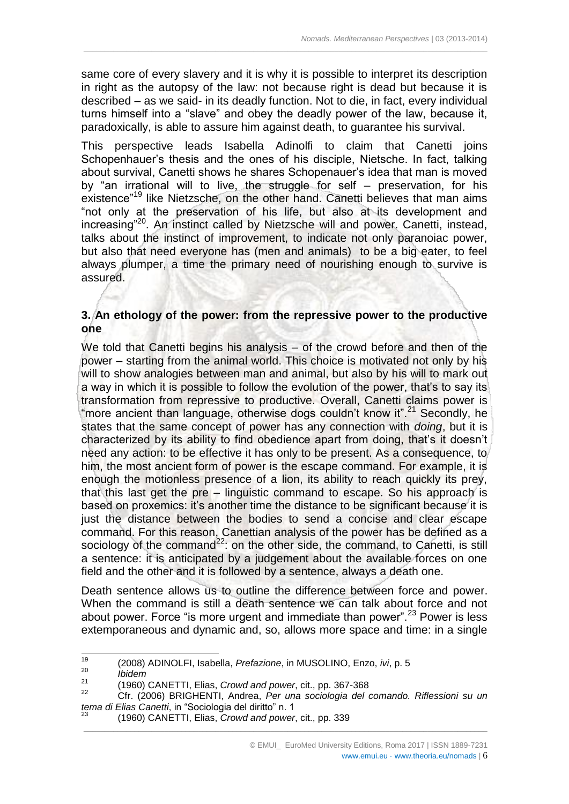same core of every slavery and it is why it is possible to interpret its description in right as the autopsy of the law: not because right is dead but because it is described – as we said- in its deadly function. Not to die, in fact, every individual turns himself into a "slave" and obey the deadly power of the law, because it, paradoxically, is able to assure him against death, to guarantee his survival.

 $\_$  ,  $\_$  ,  $\_$  ,  $\_$  ,  $\_$  ,  $\_$  ,  $\_$  ,  $\_$  ,  $\_$  ,  $\_$  ,  $\_$  ,  $\_$  ,  $\_$  ,  $\_$  ,  $\_$  ,  $\_$  ,  $\_$  ,  $\_$  ,  $\_$  ,  $\_$  ,  $\_$  ,  $\_$  ,  $\_$  ,  $\_$  ,  $\_$  ,  $\_$  ,  $\_$  ,  $\_$  ,  $\_$  ,  $\_$  ,  $\_$  ,  $\_$  ,  $\_$  ,  $\_$  ,  $\_$  ,  $\_$  ,  $\_$  ,

This perspective leads Isabella Adinolfi to claim that Canetti joins Schopenhauer's thesis and the ones of his disciple, Nietsche. In fact, talking about survival, Canetti shows he shares Schopenauer's idea that man is moved by "an irrational will to live, the struggle for self – preservation, for his existence"<sup>19</sup> like Nietzsche, on the other hand. Canetti believes that man aims "not only at the preservation of his life, but also at its development and increasing"<sup>20</sup>. An instinct called by Nietzsche will and power. Canetti, instead, talks about the instinct of improvement, to indicate not only paranoiac power, but also that need everyone has (men and animals) to be a big eater, to feel always plumper, a time the primary need of nourishing enough to survive is assured.

# **3. An ethology of the power: from the repressive power to the productive one**

We told that Canetti begins his analysis – of the crowd before and then of the power – starting from the animal world. This choice is motivated not only by his will to show analogies between man and animal, but also by his will to mark out a way in which it is possible to follow the evolution of the power, that's to say its transformation from repressive to productive. Overall, Canetti claims power is "more ancient than language, otherwise dogs couldn't know it".<sup>21</sup> Secondly, he states that the same concept of power has any connection with *doing*, but it is characterized by its ability to find obedience apart from doing, that's it doesn't need any action: to be effective it has only to be present. As a consequence, to him, the most ancient form of power is the escape command. For example, it is enough the motionless presence of a lion, its ability to reach quickly its prey, that this last get the pre - linguistic command to escape. So his approach is based on proxemics: it's another time the distance to be significant because it is just the distance between the bodies to send a concise and clear escape command. For this reason, Canettian analysis of the power has be defined as a sociology of the command<sup>22</sup>: on the other side, the command, to Canetti, is still a sentence: it is anticipated by a judgement about the available forces on one field and the other and it is followed by a sentence, always a death one.

Death sentence allows us to outline the difference between force and power. When the command is still a death sentence we can talk about force and not about power. Force "is more urgent and immediate than power".<sup>23</sup> Power is less extemporaneous and dynamic and, so, allows more space and time: in a single

 $\_$  , and the set of the set of the set of the set of the set of the set of the set of the set of the set of the set of the set of the set of the set of the set of the set of the set of the set of the set of the set of th <sup>23</sup> (1960) CANETTI, Elias, *Crowd and power*, cit., pp. 339

<sup>19</sup> <sup>19</sup> (2008) ADINOLFI, Isabella, *Prefazione*, in MUSOLINO, Enzo, *ivi*, p. 5

<sup>20</sup> *Ibidem*

<sup>21</sup> (1960) CANETTI, Elias, *Crowd and power*, cit., pp. 367-368

<sup>22</sup> Cfr. (2006) BRIGHENTI, Andrea, *Per una sociologia del comando. Riflessioni su un tema di Elias Canetti*, in "Sociologia del diritto" n. 1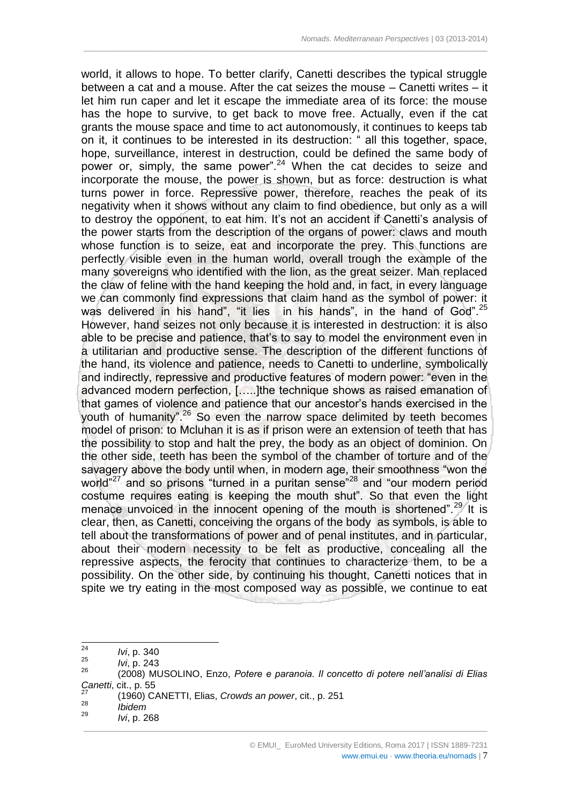world, it allows to hope. To better clarify, Canetti describes the typical struggle between a cat and a mouse. After the cat seizes the mouse – Canetti writes – it let him run caper and let it escape the immediate area of its force: the mouse has the hope to survive, to get back to move free. Actually, even if the cat grants the mouse space and time to act autonomously, it continues to keeps tab on it, it continues to be interested in its destruction: " all this together, space, hope, surveillance, interest in destruction, could be defined the same body of power or, simply, the same power".<sup>24</sup> When the cat decides to seize and incorporate the mouse, the power is shown, but as force: destruction is what turns power in force. Repressive power, therefore, reaches the peak of its negativity when it shows without any claim to find obedience, but only as a will to destroy the opponent, to eat him. It's not an accident if Canetti's analysis of the power starts from the description of the organs of power: claws and mouth whose function is to seize, eat and incorporate the prey. This functions are perfectly visible even in the human world, overall trough the example of the many sovereigns who identified with the lion, as the great seizer. Man replaced the claw of feline with the hand keeping the hold and, in fact, in every language we can commonly find expressions that claim hand as the symbol of power: it was delivered in his hand", "it lies in his hands", in the hand of God".<sup>25</sup> However, hand seizes not only because it is interested in destruction: it is also able to be precise and patience, that's to say to model the environment even in a utilitarian and productive sense. The description of the different functions of the hand, its violence and patience, needs to Canetti to underline, symbolically and indirectly, repressive and productive features of modern power: "even in the advanced modern perfection, […..]the technique shows as raised emanation of that games of violence and patience that our ancestor's hands exercised in the youth of humanity".<sup>26</sup> So even the narrow space delimited by teeth becomes model of prison: to Mcluhan it is as if prison were an extension of teeth that has the possibility to stop and halt the prey, the body as an object of dominion. On the other side, teeth has been the symbol of the chamber of torture and of the savagery above the body until when, in modern age, their smoothness "won the world"<sup>27</sup> and so prisons "turned in a puritan sense"<sup>28</sup> and "our modern period costume requires eating is keeping the mouth shut". So that even the light menace unvoiced in the innocent opening of the mouth is shortened".<sup>29</sup> It is clear, then, as Canetti, conceiving the organs of the body as symbols, is able to tell about the transformations of power and of penal institutes, and in particular, about their modern necessity to be felt as productive, concealing all the repressive aspects, the ferocity that continues to characterize them, to be a possibility. On the other side, by continuing his thought, Canetti notices that in spite we try eating in the most composed way as possible, we continue to eat

 $\_$  ,  $\_$  ,  $\_$  ,  $\_$  ,  $\_$  ,  $\_$  ,  $\_$  ,  $\_$  ,  $\_$  ,  $\_$  ,  $\_$  ,  $\_$  ,  $\_$  ,  $\_$  ,  $\_$  ,  $\_$  ,  $\_$  ,  $\_$  ,  $\_$  ,  $\_$  ,  $\_$  ,  $\_$  ,  $\_$  ,  $\_$  ,  $\_$  ,  $\_$  ,  $\_$  ,  $\_$  ,  $\_$  ,  $\_$  ,  $\_$  ,  $\_$  ,  $\_$  ,  $\_$  ,  $\_$  ,  $\_$  ,  $\_$  ,

<sup>27</sup> (1960) CANETTI, Elias, *Crowds an power*, cit., p. 251

<sup>24</sup> <sup>24</sup> *Ivi*, p. 340

<sup>25</sup> *Ivi*, p. 243

<sup>26</sup> (2008) MUSOLINO, Enzo, *Potere e paranoia. Il concetto di potere nell'analisi di Elias Canetti*, cit., p. 55

<sup>28</sup> *Ibidem*

 $\_$  , and the set of the set of the set of the set of the set of the set of the set of the set of the set of the set of the set of the set of the set of the set of the set of the set of the set of the set of the set of th <sup>29</sup> *Ivi*, p. 268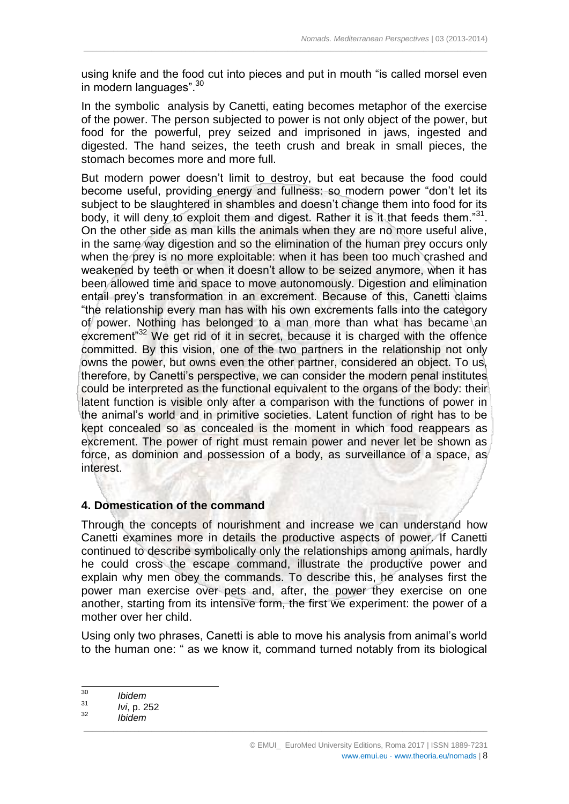using knife and the food cut into pieces and put in mouth "is called morsel even in modern languages".<sup>30</sup>

 $\_$  ,  $\_$  ,  $\_$  ,  $\_$  ,  $\_$  ,  $\_$  ,  $\_$  ,  $\_$  ,  $\_$  ,  $\_$  ,  $\_$  ,  $\_$  ,  $\_$  ,  $\_$  ,  $\_$  ,  $\_$  ,  $\_$  ,  $\_$  ,  $\_$  ,  $\_$  ,  $\_$  ,  $\_$  ,  $\_$  ,  $\_$  ,  $\_$  ,  $\_$  ,  $\_$  ,  $\_$  ,  $\_$  ,  $\_$  ,  $\_$  ,  $\_$  ,  $\_$  ,  $\_$  ,  $\_$  ,  $\_$  ,  $\_$  ,

In the symbolic analysis by Canetti, eating becomes metaphor of the exercise of the power. The person subjected to power is not only object of the power, but food for the powerful, prey seized and imprisoned in jaws, ingested and digested. The hand seizes, the teeth crush and break in small pieces, the stomach becomes more and more full.

But modern power doesn't limit to destroy, but eat because the food could become useful, providing energy and fullness: so modern power "don't let its subject to be slaughtered in shambles and doesn't change them into food for its body, it will deny to exploit them and digest. Rather it is it that feeds them."<sup>31</sup>. On the other side as man kills the animals when they are no more useful alive, in the same way digestion and so the elimination of the human prey occurs only when the prey is no more exploitable: when it has been too much crashed and weakened by teeth or when it doesn't allow to be seized anymore, when it has been allowed time and space to move autonomously. Digestion and elimination entail prey's transformation in an excrement. Because of this, Canetti claims "the relationship every man has with his own excrements falls into the category of power. Nothing has belonged to a man more than what has became an excrement $1^{32}$  We get rid of it in secret, because it is charged with the offence committed. By this vision, one of the two partners in the relationship not only owns the power, but owns even the other partner, considered an object. To us, therefore, by Canetti's perspective, we can consider the modern penal institutes could be interpreted as the functional equivalent to the organs of the body: their latent function is visible only after a comparison with the functions of power in the animal's world and in primitive societies. Latent function of right has to be kept concealed so as concealed is the moment in which food reappears as excrement. The power of right must remain power and never let be shown as force, as dominion and possession of a body, as surveillance of a space, as interest.

# **4. Domestication of the command**

Through the concepts of nourishment and increase we can understand how Canetti examines more in details the productive aspects of power. If Canetti continued to describe symbolically only the relationships among animals, hardly he could cross the escape command, illustrate the productive power and explain why men obey the commands. To describe this, he analyses first the power man exercise over pets and, after, the power they exercise on one another, starting from its intensive form, the first we experiment: the power of a mother over her child.

Using only two phrases, Canetti is able to move his analysis from animal's world to the human one: " as we know it, command turned notably from its biological

 $\_$  , and the set of the set of the set of the set of the set of the set of the set of the set of the set of the set of the set of the set of the set of the set of the set of the set of the set of the set of the set of th

 $30$ <sup>30</sup> *Ibidem*

 $\frac{31}{32}$  *Ivi*, p. 252

<sup>32</sup> *Ibidem*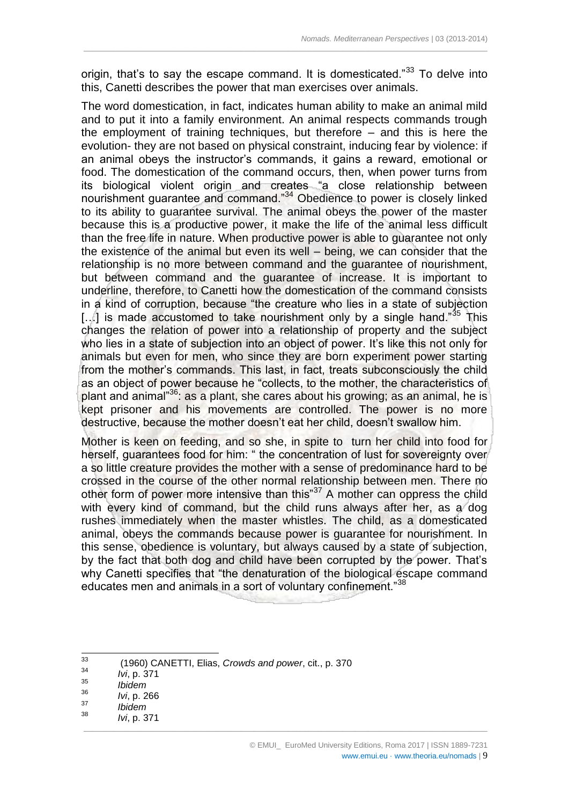origin, that's to say the escape command. It is domesticated."<sup>33</sup> To delve into this, Canetti describes the power that man exercises over animals.

 $\_$  ,  $\_$  ,  $\_$  ,  $\_$  ,  $\_$  ,  $\_$  ,  $\_$  ,  $\_$  ,  $\_$  ,  $\_$  ,  $\_$  ,  $\_$  ,  $\_$  ,  $\_$  ,  $\_$  ,  $\_$  ,  $\_$  ,  $\_$  ,  $\_$  ,  $\_$  ,  $\_$  ,  $\_$  ,  $\_$  ,  $\_$  ,  $\_$  ,  $\_$  ,  $\_$  ,  $\_$  ,  $\_$  ,  $\_$  ,  $\_$  ,  $\_$  ,  $\_$  ,  $\_$  ,  $\_$  ,  $\_$  ,  $\_$  ,

The word domestication, in fact, indicates human ability to make an animal mild and to put it into a family environment. An animal respects commands trough the employment of training techniques, but therefore – and this is here the evolution- they are not based on physical constraint, inducing fear by violence: if an animal obeys the instructor's commands, it gains a reward, emotional or food. The domestication of the command occurs, then, when power turns from its biological violent origin and creates "a close relationship between nourishment guarantee and command."<sup>34</sup> Obedience to power is closely linked to its ability to guarantee survival. The animal obeys the power of the master because this is a productive power, it make the life of the animal less difficult than the free life in nature. When productive power is able to guarantee not only the existence of the animal but even its well – being, we can consider that the relationship is no more between command and the guarantee of nourishment, but between command and the guarantee of increase. It is important to underline, therefore, to Canetti how the domestication of the command consists in a kind of corruption, because "the creature who lies in a state of subjection [...] is made accustomed to take nourishment only by a single hand."<sup>35</sup> This changes the relation of power into a relationship of property and the subject who lies in a state of subjection into an object of power. It's like this not only for animals but even for men, who since they are born experiment power starting from the mother's commands. This last, in fact, treats subconsciously the child as an object of power because he "collects, to the mother, the characteristics of plant and animal"<sup>36</sup>: as a plant, she cares about his growing; as an animal, he is kept prisoner and his movements are controlled. The power is no more destructive, because the mother doesn't eat her child, doesn't swallow him.

Mother is keen on feeding, and so she, in spite to turn her child into food for herself, guarantees food for him: " the concentration of lust for sovereignty over a so little creature provides the mother with a sense of predominance hard to be crossed in the course of the other normal relationship between men. There no other form of power more intensive than this<sup>37</sup> A mother can oppress the child with every kind of command, but the child runs always after her, as a dog rushes immediately when the master whistles. The child, as a domesticated animal, obeys the commands because power is guarantee for nourishment. In this sense, obedience is voluntary, but always caused by a state of subjection, by the fact that both dog and child have been corrupted by the power. That's why Canetti specifies that "the denaturation of the biological escape command educates men and animals in a sort of voluntary confinement."<sup>38</sup>

<sup>—&</sup>lt;br>33 (1960) CANETTI, Elias, *Crowds and power*, cit., p. 370

<sup>34</sup> *Ivi*, p. 371

<sup>35</sup> *Ibidem*

 $\frac{36}{37}$  *Ivi*, p. 266

<sup>37</sup> *Ibidem*

 $\_$  , and the set of the set of the set of the set of the set of the set of the set of the set of the set of the set of the set of the set of the set of the set of the set of the set of the set of the set of the set of th <sup>38</sup> *Ivi*, p. 371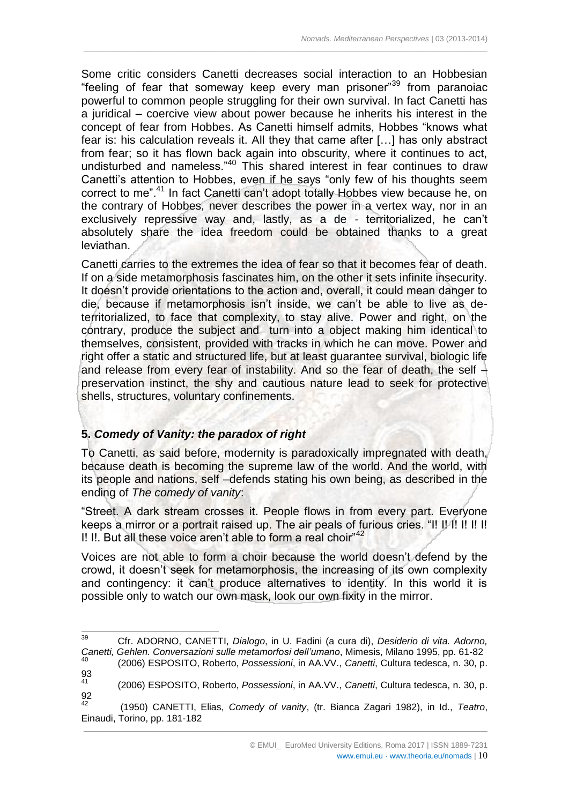Some critic considers Canetti decreases social interaction to an Hobbesian "feeling of fear that someway keep every man prisoner"<sup>39</sup> from paranoiac powerful to common people struggling for their own survival. In fact Canetti has a juridical – coercive view about power because he inherits his interest in the concept of fear from Hobbes. As Canetti himself admits, Hobbes "knows what fear is: his calculation reveals it. All they that came after […] has only abstract from fear; so it has flown back again into obscurity, where it continues to act, undisturbed and nameless."<sup>40</sup> This shared interest in fear continues to draw Canetti's attention to Hobbes, even if he says "only few of his thoughts seem correct to me".<sup>41</sup> In fact Canetti can't adopt totally Hobbes view because he, on the contrary of Hobbes, never describes the power in a vertex way, nor in an exclusively repressive way and, lastly, as a de - territorialized, he can't absolutely share the idea freedom could be obtained thanks to a great leviathan.

 $\_$  ,  $\_$  ,  $\_$  ,  $\_$  ,  $\_$  ,  $\_$  ,  $\_$  ,  $\_$  ,  $\_$  ,  $\_$  ,  $\_$  ,  $\_$  ,  $\_$  ,  $\_$  ,  $\_$  ,  $\_$  ,  $\_$  ,  $\_$  ,  $\_$  ,  $\_$  ,  $\_$  ,  $\_$  ,  $\_$  ,  $\_$  ,  $\_$  ,  $\_$  ,  $\_$  ,  $\_$  ,  $\_$  ,  $\_$  ,  $\_$  ,  $\_$  ,  $\_$  ,  $\_$  ,  $\_$  ,  $\_$  ,  $\_$  ,

Canetti carries to the extremes the idea of fear so that it becomes fear of death. If on a side metamorphosis fascinates him, on the other it sets infinite insecurity. It doesn't provide orientations to the action and, overall, it could mean danger to die, because if metamorphosis isn't inside, we can't be able to live as deterritorialized, to face that complexity, to stay alive. Power and right, on the contrary, produce the subject and turn into a object making him identical to themselves, consistent, provided with tracks in which he can move. Power and right offer a static and structured life, but at least guarantee survival, biologic life and release from every fear of instability. And so the fear of death, the self – preservation instinct, the shy and cautious nature lead to seek for protective shells, structures, voluntary confinements.

# **5.** *Comedy of Vanity: the paradox of right*

To Canetti, as said before, modernity is paradoxically impregnated with death, because death is becoming the supreme law of the world. And the world, with its people and nations, self –defends stating his own being, as described in the ending of *The comedy of vanity*:

"Street. A dark stream crosses it. People flows in from every part. Everyone keeps a mirror or a portrait raised up. The air peals of furious cries. "I! I! I! I! I! I! I! I!. But all these voice aren't able to form a real choir $n^4$ <sup>2</sup>

Voices are not able to form a choir because the world doesn't defend by the crowd, it doesn't seek for metamorphosis, the increasing of its own complexity and contingency: it can't produce alternatives to identity. In this world it is possible only to watch our own mask, look our own fixity in the mirror.

93 <sup>41</sup> (2006) ESPOSITO, Roberto, *Possessioni*, in AA.VV., *Canetti*, Cultura tedesca, n. 30, p.

<sup>39</sup> <sup>39</sup> Cfr. ADORNO, CANETTI, *Dialogo*, in U. Fadini (a cura di), *Desiderio di vita. Adorno, Canetti, Gehlen. Conversazioni sulle metamorfosi dell'umano*, Mimesis, Milano 1995, pp. 61-82 <sup>40</sup> (2006) ESPOSITO, Roberto, *Possessioni*, in AA.VV., *Canetti*, Cultura tedesca, n. 30, p.

 $\_$  , and the set of the set of the set of the set of the set of the set of the set of the set of the set of the set of the set of the set of the set of the set of the set of the set of the set of the set of the set of th 92 42 (1950) CANETTI, Elias, *Comedy of vanity*, (tr. Bianca Zagari 1982), in Id., *Teatro*, Einaudi, Torino, pp. 181-182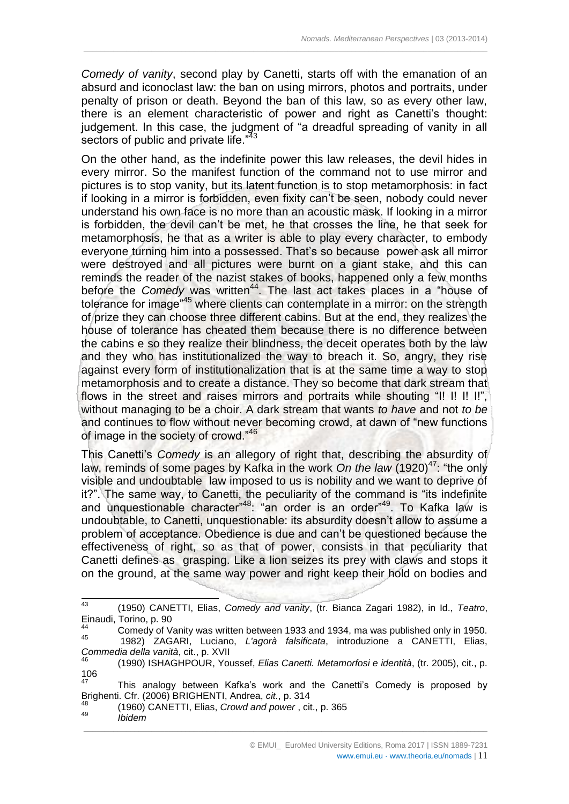*Comedy of vanity*, second play by Canetti, starts off with the emanation of an absurd and iconoclast law: the ban on using mirrors, photos and portraits, under penalty of prison or death. Beyond the ban of this law, so as every other law, there is an element characteristic of power and right as Canetti's thought: judgement. In this case, the judgment of "a dreadful spreading of vanity in all sectors of public and private life."<sup>43</sup>

 $\_$  ,  $\_$  ,  $\_$  ,  $\_$  ,  $\_$  ,  $\_$  ,  $\_$  ,  $\_$  ,  $\_$  ,  $\_$  ,  $\_$  ,  $\_$  ,  $\_$  ,  $\_$  ,  $\_$  ,  $\_$  ,  $\_$  ,  $\_$  ,  $\_$  ,  $\_$  ,  $\_$  ,  $\_$  ,  $\_$  ,  $\_$  ,  $\_$  ,  $\_$  ,  $\_$  ,  $\_$  ,  $\_$  ,  $\_$  ,  $\_$  ,  $\_$  ,  $\_$  ,  $\_$  ,  $\_$  ,  $\_$  ,  $\_$  ,

On the other hand, as the indefinite power this law releases, the devil hides in every mirror. So the manifest function of the command not to use mirror and pictures is to stop vanity, but its latent function is to stop metamorphosis: in fact if looking in a mirror is forbidden, even fixity can't be seen, nobody could never understand his own face is no more than an acoustic mask. If looking in a mirror is forbidden, the devil can't be met, he that crosses the line, he that seek for metamorphosis, he that as a writer is able to play every character, to embody everyone turning him into a possessed. That's so because power ask all mirror were destroyed and all pictures were burnt on a giant stake, and this can reminds the reader of the nazist stakes of books, happened only a few months before the *Comedy* was written<sup>44</sup>. The last act takes places in a "house of tolerance for image<sup>"45</sup> where clients can contemplate in a mirror: on the strength of prize they can choose three different cabins. But at the end, they realizes the house of tolerance has cheated them because there is no difference between the cabins e so they realize their blindness, the deceit operates both by the law and they who has institutionalized the way to breach it. So, angry, they rise against every form of institutionalization that is at the same time a way to stop metamorphosis and to create a distance. They so become that dark stream that flows in the street and raises mirrors and portraits while shouting "I! I! I! I!", without managing to be a choir. A dark stream that wants *to have* and not *to be* and continues to flow without never becoming crowd, at dawn of "new functions of image in the society of crowd."<sup>46</sup>

This Canetti's *Comedy* is an allegory of right that, describing the absurdity of law, reminds of some pages by Kafka in the work *On the law* (1920)<sup>47</sup>: "the only visible and undoubtable law imposed to us is nobility and we want to deprive of it?". The same way, to Canetti, the peculiarity of the command is "its indefinite and unquestionable character<sup>"48</sup>: "an order is an order<sup>"49</sup>. To Kafka law is undoubtable, to Canetti, unquestionable: its absurdity doesn't allow to assume a problem of acceptance. Obedience is due and can't be questioned because the effectiveness of right, so as that of power, consists in that peculiarity that Canetti defines as grasping. Like a lion seizes its prey with claws and stops it on the ground, at the same way power and right keep their hold on bodies and

 $\_$  , and the set of the set of the set of the set of the set of the set of the set of the set of the set of the set of the set of the set of the set of the set of the set of the set of the set of the set of the set of th

<sup>48</sup> (1960) CANETTI, Elias, *Crowd and power* , cit., p. 365 <sup>49</sup> *Ibidem*

 $\overline{43}$ <sup>43</sup> (1950) CANETTI, Elias, *Comedy and vanity*, (tr. Bianca Zagari 1982), in Id., *Teatro*, Einaudi, Torino, p. 90

Comedy of Vanity was written between 1933 and 1934, ma was published only in 1950. 45 1982) ZAGARI, Luciano, *L'agorà falsificata*, introduzione a CANETTI, Elias, *Commedia della vanità*, cit., p. XVII

<sup>46</sup> (1990) ISHAGHPOUR, Youssef, *Elias Canetti. Metamorfosi e identità*, (tr. 2005), cit., p. 106

This analogy between Kafka's work and the Canetti's Comedy is proposed by Brighenti. Cfr. (2006) BRIGHENTI, Andrea, *cit.*, p. 314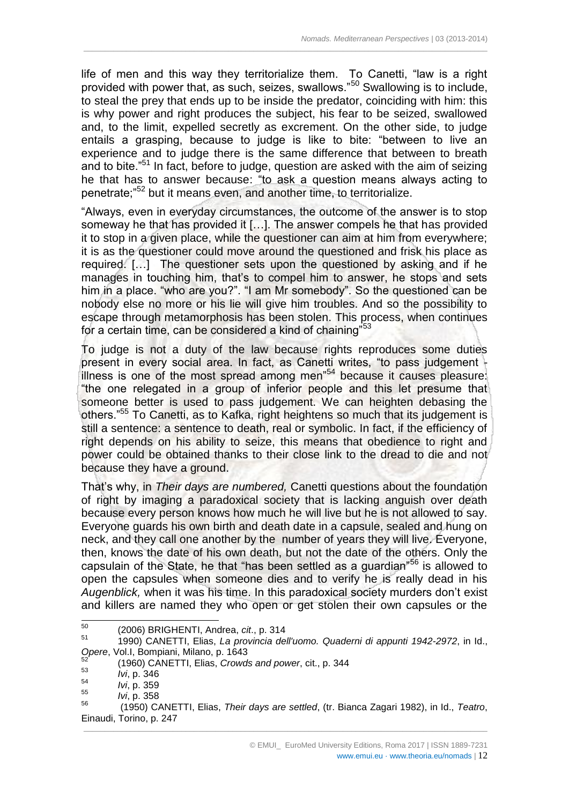life of men and this way they territorialize them. To Canetti, "law is a right provided with power that, as such, seizes, swallows."<sup>50</sup> Swallowing is to include, to steal the prey that ends up to be inside the predator, coinciding with him: this is why power and right produces the subject, his fear to be seized, swallowed and, to the limit, expelled secretly as excrement. On the other side, to judge entails a grasping, because to judge is like to bite: "between to live an experience and to judge there is the same difference that between to breath and to bite."<sup>51</sup> In fact, before to judge, question are asked with the aim of seizing he that has to answer because: "to ask a question means always acting to penetrate;<sup>"52</sup> but it means even, and another time, to territorialize.

 $\_$  ,  $\_$  ,  $\_$  ,  $\_$  ,  $\_$  ,  $\_$  ,  $\_$  ,  $\_$  ,  $\_$  ,  $\_$  ,  $\_$  ,  $\_$  ,  $\_$  ,  $\_$  ,  $\_$  ,  $\_$  ,  $\_$  ,  $\_$  ,  $\_$  ,  $\_$  ,  $\_$  ,  $\_$  ,  $\_$  ,  $\_$  ,  $\_$  ,  $\_$  ,  $\_$  ,  $\_$  ,  $\_$  ,  $\_$  ,  $\_$  ,  $\_$  ,  $\_$  ,  $\_$  ,  $\_$  ,  $\_$  ,  $\_$  ,

"Always, even in everyday circumstances, the outcome of the answer is to stop someway he that has provided it […]. The answer compels he that has provided it to stop in a given place, while the questioner can aim at him from everywhere; it is as the questioner could move around the questioned and frisk his place as required. […] The questioner sets upon the questioned by asking and if he manages in touching him, that's to compel him to answer, he stops and sets him in a place. "who are you?". "I am Mr somebody". So the questioned can be nobody else no more or his lie will give him troubles. And so the possibility to escape through metamorphosis has been stolen. This process, when continues for a certain time, can be considered a kind of chaining"<sup>53</sup>

To judge is not a duty of the law because rights reproduces some duties present in every social area. In fact, as Canetti writes, "to pass judgement illness is one of the most spread among men"<sup>54</sup> because it causes pleasure: "the one relegated in a group of inferior people and this let presume that someone better is used to pass judgement. We can heighten debasing the others."<sup>55</sup> To Canetti, as to Kafka, right heightens so much that its judgement is still a sentence: a sentence to death, real or symbolic. In fact, if the efficiency of right depends on his ability to seize, this means that obedience to right and power could be obtained thanks to their close link to the dread to die and not because they have a ground.

That's why, in *Their days are numbered,* Canetti questions about the foundation of right by imaging a paradoxical society that is lacking anguish over death because every person knows how much he will live but he is not allowed to say. Everyone guards his own birth and death date in a capsule, sealed and hung on neck, and they call one another by the number of years they will live. Everyone, then, knows the date of his own death, but not the date of the others. Only the capsulain of the State, he that "has been settled as a guardian"<sup>56</sup> is allowed to open the capsules when someone dies and to verify he is really dead in his *Augenblick,* when it was his time. In this paradoxical society murders don't exist and killers are named they who open or get stolen their own capsules or the

<sup>50</sup> <sup>50</sup> (2006) BRIGHENTI, Andrea, *cit*., p. 314

<sup>51</sup> 1990) CANETTI, Elias, *La provincia dell'uomo. Quaderni di appunti 1942-2972*, in Id., *Opere*, Vol.I, Bompiani, Milano, p. 1643

<sup>52</sup> (1960) CANETTI, Elias, *Crowds and power*, cit., p. 344

<sup>53</sup> *Ivi*, p. 346

 $\frac{54}{55}$  *Ivi*, p. 359

<sup>55</sup> *Ivi*, p. 358

 $\_$  , and the set of the set of the set of the set of the set of the set of the set of the set of the set of the set of the set of the set of the set of the set of the set of the set of the set of the set of the set of th 56 (1950) CANETTI, Elias, *Their days are settled*, (tr. Bianca Zagari 1982), in Id., *Teatro*, Einaudi, Torino, p. 247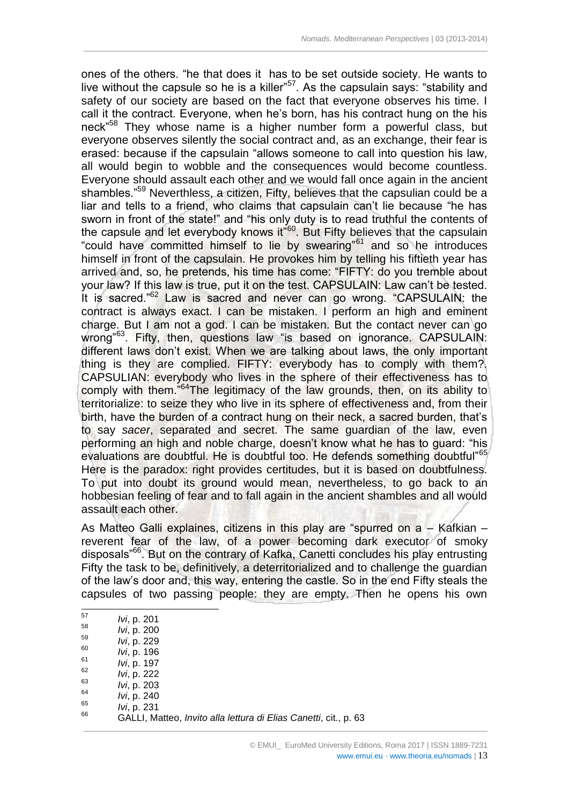ones of the others. "he that does it has to be set outside society. He wants to live without the capsule so he is a killer"<sup>57</sup>. As the capsulain says: "stability and safety of our society are based on the fact that everyone observes his time. I call it the contract. Everyone, when he's born, has his contract hung on the his neck<sup>"58</sup> They whose name is a higher number form a powerful class, but everyone observes silently the social contract and, as an exchange, their fear is erased: because if the capsulain "allows someone to call into question his law, all would begin to wobble and the consequences would become countless. Everyone should assault each other and we would fall once again in the ancient shambles."<sup>59</sup> Neverthless, a citizen, Fifty, believes that the capsulian could be a liar and tells to a friend, who claims that capsulain can't lie because "he has sworn in front of the state!" and "his only duty is to read truthful the contents of the capsule and let everybody knows it<sup> $60$ </sup>. But Fifty believes that the capsulain "could have committed himself to lie by swearing"<sup>61</sup> and so he introduces himself in front of the capsulain. He provokes him by telling his fiftieth year has arrived and, so, he pretends, his time has come: "FIFTY: do you tremble about your law? If this law is true, put it on the test. CAPSULAIN: Law can't be tested. It is sacred."<sup>62</sup> Law is sacred and never can go wrong. "CAPSULAIN: the contract is always exact. I can be mistaken. I perform an high and eminent charge. But I am not a god. I can be mistaken. But the contact never can go wrong<sup>"63</sup>. Fifty, then, questions law "is based on ignorance. CAPSULAIN: different laws don't exist. When we are talking about laws, the only important thing is they are complied. FIFTY: everybody has to comply with them?. CAPSULIAN: everybody who lives in the sphere of their effectiveness has to comply with them."<sup>64</sup>The legitimacy of the law grounds, then, on its ability to territorialize: to seize they who live in its sphere of effectiveness and, from their birth, have the burden of a contract hung on their neck, a sacred burden, that's to say *sacer*, separated and secret. The same guardian of the law, even performing an high and noble charge, doesn't know what he has to guard: "his evaluations are doubtful. He is doubtful too. He defends something doubtful"<sup>65</sup> Here is the paradox: right provides certitudes, but it is based on doubtfulness. To put into doubt its ground would mean, nevertheless, to go back to an hobbesian feeling of fear and to fall again in the ancient shambles and all would assault each other.

 $\_$  ,  $\_$  ,  $\_$  ,  $\_$  ,  $\_$  ,  $\_$  ,  $\_$  ,  $\_$  ,  $\_$  ,  $\_$  ,  $\_$  ,  $\_$  ,  $\_$  ,  $\_$  ,  $\_$  ,  $\_$  ,  $\_$  ,  $\_$  ,  $\_$  ,  $\_$  ,  $\_$  ,  $\_$  ,  $\_$  ,  $\_$  ,  $\_$  ,  $\_$  ,  $\_$  ,  $\_$  ,  $\_$  ,  $\_$  ,  $\_$  ,  $\_$  ,  $\_$  ,  $\_$  ,  $\_$  ,  $\_$  ,  $\_$  ,

As Matteo Galli explaines, citizens in this play are "spurred on a – Kafkian – reverent fear of the law, of a power becoming dark executor of smoky disposals<sup>"66</sup>. But on the contrary of Kafka, Canetti concludes his play entrusting Fifty the task to be, definitively, a deterritorialized and to challenge the guardian of the law's door and, this way, entering the castle. So in the end Fifty steals the capsules of two passing people: they are empty. Then he opens his own

- <sup>60</sup> *Ivi*, p. 196
- <sup>61</sup> *Ivi*, p. 197
- <sup>62</sup> *Ivi*, p. 222 <sup>63</sup> *Ivi*, p. 203
- <sup>64</sup> *Ivi*, p. 240
- <sup>65</sup> *Ivi*, p. 231
- $\_$  , and the state of the state of the state of the state of the state of the state of the state of the state of the state of the state of the state of the state of the state of the state of the state of the state of the <sup>66</sup> GALLI, Matteo, *Invito alla lettura di Elias Canetti*, cit., p. 63

<sup>57</sup> <sup>57</sup> *Ivi*, p. 201

<sup>58</sup> *Ivi*, p. 200

<sup>59</sup> *Ivi*, p. 229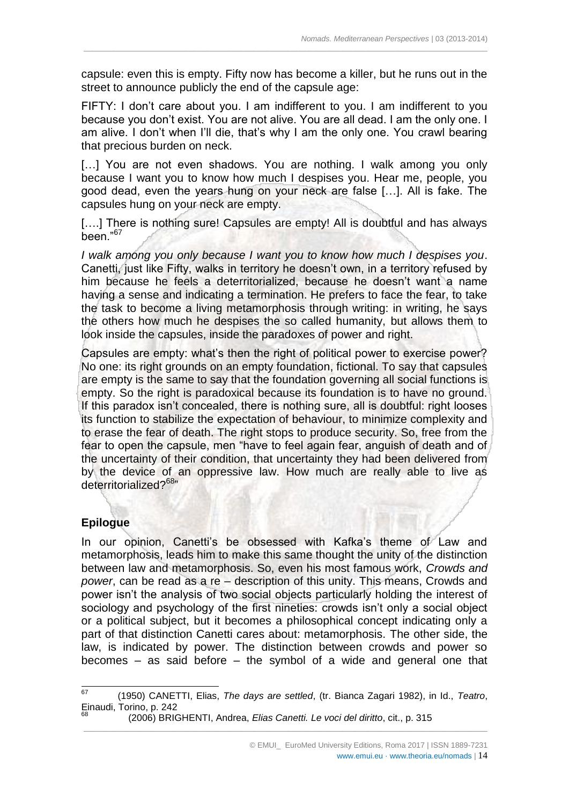capsule: even this is empty. Fifty now has become a killer, but he runs out in the street to announce publicly the end of the capsule age:

 $\_$  ,  $\_$  ,  $\_$  ,  $\_$  ,  $\_$  ,  $\_$  ,  $\_$  ,  $\_$  ,  $\_$  ,  $\_$  ,  $\_$  ,  $\_$  ,  $\_$  ,  $\_$  ,  $\_$  ,  $\_$  ,  $\_$  ,  $\_$  ,  $\_$  ,  $\_$  ,  $\_$  ,  $\_$  ,  $\_$  ,  $\_$  ,  $\_$  ,  $\_$  ,  $\_$  ,  $\_$  ,  $\_$  ,  $\_$  ,  $\_$  ,  $\_$  ,  $\_$  ,  $\_$  ,  $\_$  ,  $\_$  ,  $\_$  ,

FIFTY: I don't care about you. I am indifferent to you. I am indifferent to you because you don't exist. You are not alive. You are all dead. I am the only one. I am alive. I don't when I'll die, that's why I am the only one. You crawl bearing that precious burden on neck.

[...] You are not even shadows. You are nothing. I walk among you only because I want you to know how much I despises you. Hear me, people, you good dead, even the years hung on your neck are false […]. All is fake. The capsules hung on your neck are empty.

[....] There is nothing sure! Capsules are empty! All is doubtful and has always been." $67$ 

*I walk among you only because I want you to know how much I despises you*. Canetti, just like Fifty, walks in territory he doesn't own, in a territory refused by him because he feels a deterritorialized, because he doesn't want a name having a sense and indicating a termination. He prefers to face the fear, to take the task to become a living metamorphosis through writing: in writing, he says the others how much he despises the so called humanity, but allows them to look inside the capsules, inside the paradoxes of power and right.

Capsules are empty: what's then the right of political power to exercise power? No one: its right grounds on an empty foundation, fictional. To say that capsules are empty is the same to say that the foundation governing all social functions is empty. So the right is paradoxical because its foundation is to have no ground. If this paradox isn't concealed, there is nothing sure, all is doubtful: right looses its function to stabilize the expectation of behaviour, to minimize complexity and to erase the fear of death. The right stops to produce security. So, free from the fear to open the capsule, men "have to feel again fear, anguish of death and of the uncertainty of their condition, that uncertainty they had been delivered from by the device of an oppressive law. How much are really able to live as deterritorialized?<sup>68</sup>"

# **Epilogue**

In our opinion, Canetti's be obsessed with Kafka's theme of Law and metamorphosis, leads him to make this same thought the unity of the distinction between law and metamorphosis. So, even his most famous work, *Crowds and power*, can be read as a re – description of this unity. This means, Crowds and power isn't the analysis of two social objects particularly holding the interest of sociology and psychology of the first nineties: crowds isn't only a social object or a political subject, but it becomes a philosophical concept indicating only a part of that distinction Canetti cares about: metamorphosis. The other side, the law, is indicated by power. The distinction between crowds and power so becomes – as said before – the symbol of a wide and general one that

 $\_$  , and the state of the state of the state of the state of the state of the state of the state of the state of the state of the state of the state of the state of the state of the state of the state of the state of the

<sup>67</sup> <sup>67</sup> (1950) CANETTI, Elias, *The days are settled*, (tr. Bianca Zagari 1982), in Id., *Teatro*, Einaudi, Torino, p. 242 68

 <sup>(2006)</sup> BRIGHENTI, Andrea, *Elias Canetti. Le voci del diritto*, cit., p. 315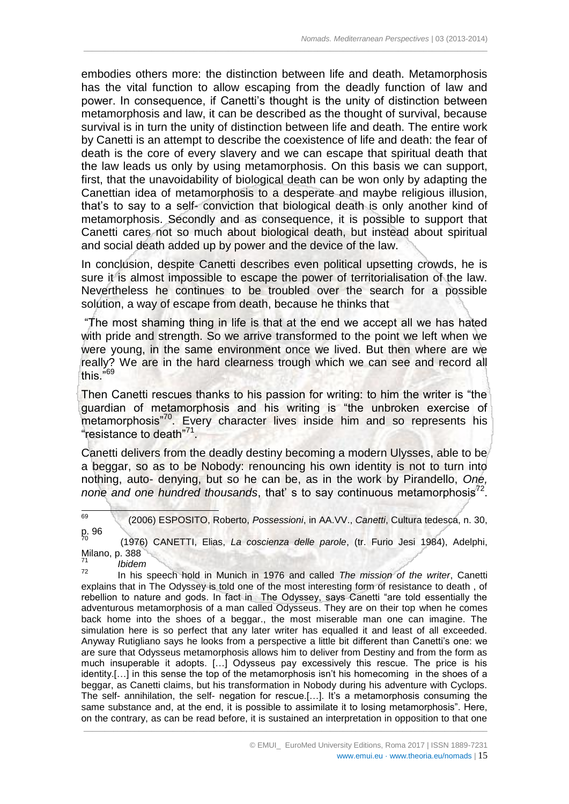embodies others more: the distinction between life and death. Metamorphosis has the vital function to allow escaping from the deadly function of law and power. In consequence, if Canetti's thought is the unity of distinction between metamorphosis and law, it can be described as the thought of survival, because survival is in turn the unity of distinction between life and death. The entire work by Canetti is an attempt to describe the coexistence of life and death: the fear of death is the core of every slavery and we can escape that spiritual death that the law leads us only by using metamorphosis. On this basis we can support, first, that the unavoidability of biological death can be won only by adapting the Canettian idea of metamorphosis to a desperate and maybe religious illusion, that's to say to a self- conviction that biological death is only another kind of metamorphosis. Secondly and as consequence, it is possible to support that Canetti cares not so much about biological death, but instead about spiritual and social death added up by power and the device of the law.

 $\_$  ,  $\_$  ,  $\_$  ,  $\_$  ,  $\_$  ,  $\_$  ,  $\_$  ,  $\_$  ,  $\_$  ,  $\_$  ,  $\_$  ,  $\_$  ,  $\_$  ,  $\_$  ,  $\_$  ,  $\_$  ,  $\_$  ,  $\_$  ,  $\_$  ,  $\_$  ,  $\_$  ,  $\_$  ,  $\_$  ,  $\_$  ,  $\_$  ,  $\_$  ,  $\_$  ,  $\_$  ,  $\_$  ,  $\_$  ,  $\_$  ,  $\_$  ,  $\_$  ,  $\_$  ,  $\_$  ,  $\_$  ,  $\_$  ,

In conclusion, despite Canetti describes even political upsetting crowds, he is sure it is almost impossible to escape the power of territorialisation of the law. Nevertheless he continues to be troubled over the search for a possible solution, a way of escape from death, because he thinks that

"The most shaming thing in life is that at the end we accept all we has hated with pride and strength. So we arrive transformed to the point we left when we were young, in the same environment once we lived. But then where are we really? We are in the hard clearness trough which we can see and record all this."<sup>69</sup>

Then Canetti rescues thanks to his passion for writing: to him the writer is "the guardian of metamorphosis and his writing is "the unbroken exercise of metamorphosis<sup>"70</sup>. Every character lives inside him and so represents his "resistance to death"<sup>71</sup> .

Canetti delivers from the deadly destiny becoming a modern Ulysses, able to be a beggar, so as to be Nobody: renouncing his own identity is not to turn into nothing, auto- denying, but so he can be, as in the work by Pirandello, *One,*  none and one hundred thousands, that's to say continuous metamorphosis<sup>72</sup>.

<sup>71</sup> *Ibidem*

 $\_$  , and the state of the state of the state of the state of the state of the state of the state of the state of the state of the state of the state of the state of the state of the state of the state of the state of the <sup>72</sup> In his speech hold in Munich in 1976 and called *The mission of the writer*, Canetti explains that in The Odyssey is told one of the most interesting form of resistance to death , of rebellion to nature and gods. In fact in The Odyssey, says Canetti "are told essentially the adventurous metamorphosis of a man called Odysseus. They are on their top when he comes back home into the shoes of a beggar., the most miserable man one can imagine. The simulation here is so perfect that any later writer has equalled it and least of all exceeded. Anyway Rutigliano says he looks from a perspective a little bit different than Canetti's one: we are sure that Odysseus metamorphosis allows him to deliver from Destiny and from the form as much insuperable it adopts. […] Odysseus pay excessively this rescue. The price is his identity.[…] in this sense the top of the metamorphosis isn't his homecoming in the shoes of a beggar, as Canetti claims, but his transformation in Nobody during his adventure with Cyclops. The self- annihilation, the self- negation for rescue.[…]. It's a metamorphosis consuming the same substance and, at the end, it is possible to assimilate it to losing metamorphosis". Here, on the contrary, as can be read before, it is sustained an interpretation in opposition to that one

<sup>—&</sup>lt;br>69 (2006) ESPOSITO, Roberto, *Possessioni*, in AA.VV., *Canetti*, Cultura tedesca, n. 30, p. 96 70

 <sup>(1976)</sup> CANETTI, Elias, *La coscienza delle parole*, (tr. Furio Jesi 1984), Adelphi, Milano, p. 388